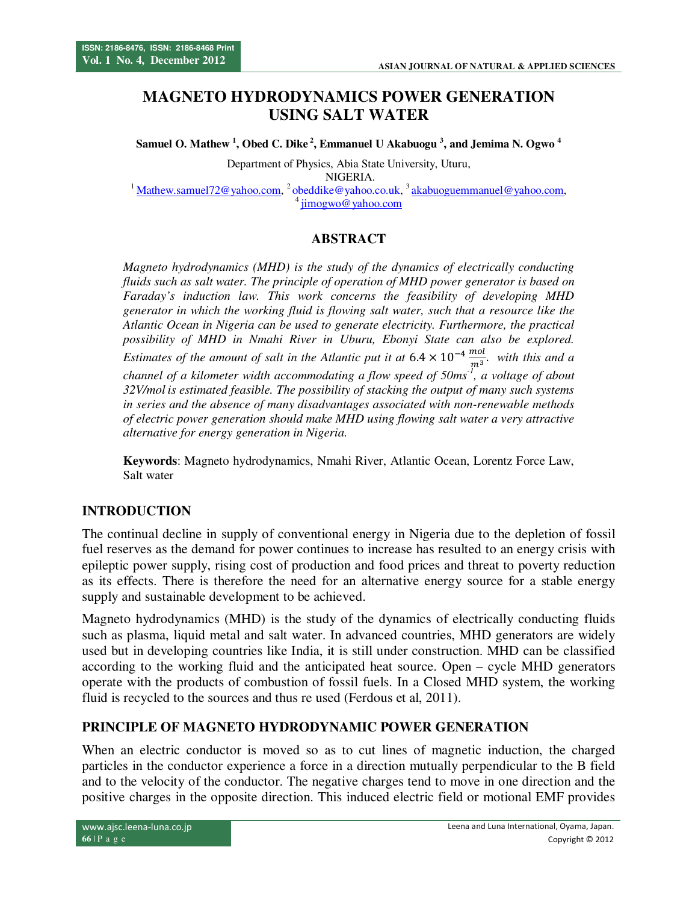# **MAGNETO HYDRODYNAMICS POWER GENERATION USING SALT WATER**

**Samuel O. Mathew <sup>1</sup> , Obed C. Dike<sup>2</sup>, Emmanuel U Akabuogu <sup>3</sup> , and Jemima N. Ogwo <sup>4</sup>**

Department of Physics, Abia State University, Uturu, NIGERIA. <sup>1</sup>Mathew.samuel72@yahoo.com, <sup>2</sup>obeddike@yahoo.co.uk, <sup>3</sup>akabuoguemmanuel@yahoo.com, jimogwo@yahoo.com

### **ABSTRACT**

*Magneto hydrodynamics (MHD) is the study of the dynamics of electrically conducting fluids such as salt water. The principle of operation of MHD power generator is based on Faraday's induction law. This work concerns the feasibility of developing MHD generator in which the working fluid is flowing salt water, such that a resource like the Atlantic Ocean in Nigeria can be used to generate electricity. Furthermore, the practical possibility of MHD in Nmahi River in Uburu, Ebonyi State can also be explored. Estimates of the amount of salt in the Atlantic put it at*  $6.4 \times 10^{-4} \frac{mol}{m^3}$  $\frac{mol}{m^3}$ . with this and a *channel of a kilometer width accommodating a flow speed of 50ms-1, a voltage of about 32V/mol is estimated feasible. The possibility of stacking the output of many such systems in series and the absence of many disadvantages associated with non-renewable methods of electric power generation should make MHD using flowing salt water a very attractive alternative for energy generation in Nigeria.* 

**Keywords**: Magneto hydrodynamics, Nmahi River, Atlantic Ocean, Lorentz Force Law, Salt water

## **INTRODUCTION**

The continual decline in supply of conventional energy in Nigeria due to the depletion of fossil fuel reserves as the demand for power continues to increase has resulted to an energy crisis with epileptic power supply, rising cost of production and food prices and threat to poverty reduction as its effects. There is therefore the need for an alternative energy source for a stable energy supply and sustainable development to be achieved.

Magneto hydrodynamics (MHD) is the study of the dynamics of electrically conducting fluids such as plasma, liquid metal and salt water. In advanced countries, MHD generators are widely used but in developing countries like India, it is still under construction. MHD can be classified according to the working fluid and the anticipated heat source. Open – cycle MHD generators operate with the products of combustion of fossil fuels. In a Closed MHD system, the working fluid is recycled to the sources and thus re used (Ferdous et al, 2011).

### **PRINCIPLE OF MAGNETO HYDRODYNAMIC POWER GENERATION**

When an electric conductor is moved so as to cut lines of magnetic induction, the charged particles in the conductor experience a force in a direction mutually perpendicular to the B field and to the velocity of the conductor. The negative charges tend to move in one direction and the positive charges in the opposite direction. This induced electric field or motional EMF provides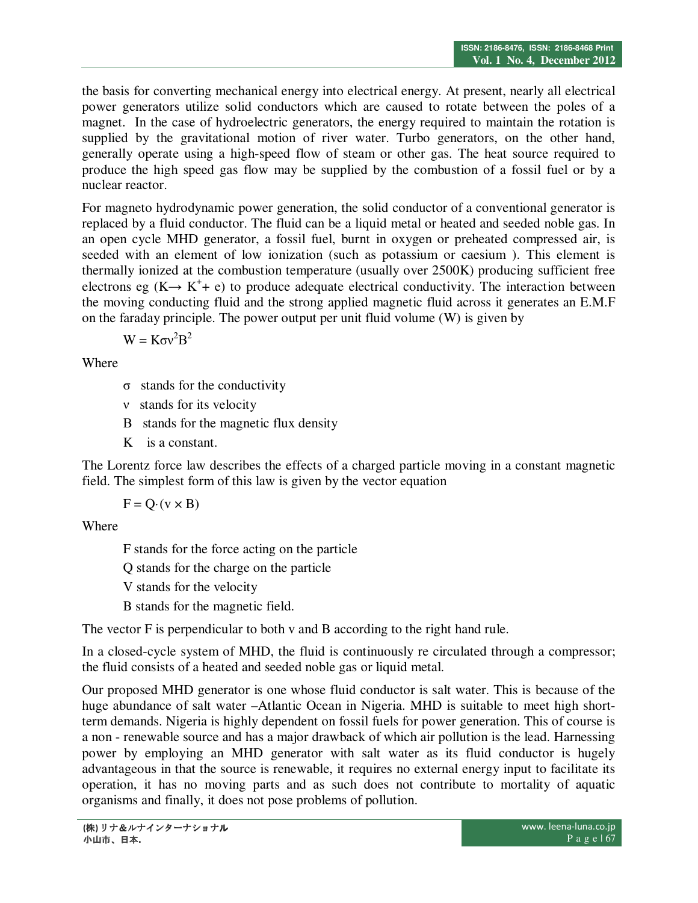the basis for converting mechanical energy into electrical energy. At present, nearly all electrical power generators utilize solid conductors which are caused to rotate between the poles of a magnet. In the case of hydroelectric generators, the energy required to maintain the rotation is supplied by the gravitational motion of river water. Turbo generators, on the other hand, generally operate using a high-speed flow of steam or other gas. The heat source required to produce the high speed gas flow may be supplied by the combustion of a fossil fuel or by a nuclear reactor.

For magneto hydrodynamic power generation, the solid conductor of a conventional generator is replaced by a fluid conductor. The fluid can be a liquid metal or heated and seeded noble gas. In an open cycle MHD generator, a fossil fuel, burnt in oxygen or preheated compressed air, is seeded with an element of low ionization (such as potassium or caesium ). This element is thermally ionized at the combustion temperature (usually over 2500K) producing sufficient free electrons eg  $(K \rightarrow K^+ + e)$  to produce adequate electrical conductivity. The interaction between the moving conducting fluid and the strong applied magnetic fluid across it generates an E.M.F on the faraday principle. The power output per unit fluid volume (W) is given by

 $W = K \sigma v^2 B^2$ 

Where

- σ stands for the conductivity
- ν stands for its velocity
- B stands for the magnetic flux density
- K is a constant.

The Lorentz force law describes the effects of a charged particle moving in a constant magnetic field. The simplest form of this law is given by the vector equation

$$
F = Q \cdot (v \times B)
$$

Where

F stands for the force acting on the particle

Q stands for the charge on the particle

V stands for the velocity

B stands for the magnetic field.

The vector F is perpendicular to both v and B according to the right hand rule.

In a closed-cycle system of MHD, the fluid is continuously re circulated through a compressor; the fluid consists of a heated and seeded noble gas or liquid metal.

Our proposed MHD generator is one whose fluid conductor is salt water. This is because of the huge abundance of salt water –Atlantic Ocean in Nigeria. MHD is suitable to meet high shortterm demands. Nigeria is highly dependent on fossil fuels for power generation. This of course is a non - renewable source and has a major drawback of which air pollution is the lead. Harnessing power by employing an MHD generator with salt water as its fluid conductor is hugely advantageous in that the source is renewable, it requires no external energy input to facilitate its operation, it has no moving parts and as such does not contribute to mortality of aquatic organisms and finally, it does not pose problems of pollution.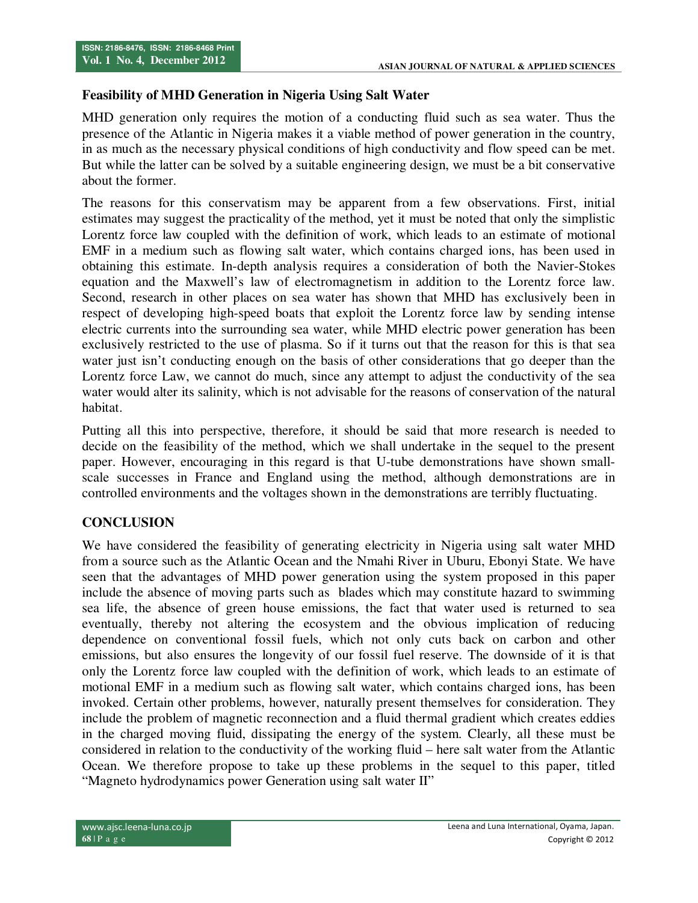#### **Feasibility of MHD Generation in Nigeria Using Salt Water**

MHD generation only requires the motion of a conducting fluid such as sea water. Thus the presence of the Atlantic in Nigeria makes it a viable method of power generation in the country, in as much as the necessary physical conditions of high conductivity and flow speed can be met. But while the latter can be solved by a suitable engineering design, we must be a bit conservative about the former.

The reasons for this conservatism may be apparent from a few observations. First, initial estimates may suggest the practicality of the method, yet it must be noted that only the simplistic Lorentz force law coupled with the definition of work, which leads to an estimate of motional EMF in a medium such as flowing salt water, which contains charged ions, has been used in obtaining this estimate. In-depth analysis requires a consideration of both the Navier-Stokes equation and the Maxwell's law of electromagnetism in addition to the Lorentz force law. Second, research in other places on sea water has shown that MHD has exclusively been in respect of developing high-speed boats that exploit the Lorentz force law by sending intense electric currents into the surrounding sea water, while MHD electric power generation has been exclusively restricted to the use of plasma. So if it turns out that the reason for this is that sea water just isn't conducting enough on the basis of other considerations that go deeper than the Lorentz force Law, we cannot do much, since any attempt to adjust the conductivity of the sea water would alter its salinity, which is not advisable for the reasons of conservation of the natural habitat.

Putting all this into perspective, therefore, it should be said that more research is needed to decide on the feasibility of the method, which we shall undertake in the sequel to the present paper. However, encouraging in this regard is that U-tube demonstrations have shown smallscale successes in France and England using the method, although demonstrations are in controlled environments and the voltages shown in the demonstrations are terribly fluctuating.

## **CONCLUSION**

We have considered the feasibility of generating electricity in Nigeria using salt water MHD from a source such as the Atlantic Ocean and the Nmahi River in Uburu, Ebonyi State. We have seen that the advantages of MHD power generation using the system proposed in this paper include the absence of moving parts such as blades which may constitute hazard to swimming sea life, the absence of green house emissions, the fact that water used is returned to sea eventually, thereby not altering the ecosystem and the obvious implication of reducing dependence on conventional fossil fuels, which not only cuts back on carbon and other emissions, but also ensures the longevity of our fossil fuel reserve. The downside of it is that only the Lorentz force law coupled with the definition of work, which leads to an estimate of motional EMF in a medium such as flowing salt water, which contains charged ions, has been invoked. Certain other problems, however, naturally present themselves for consideration. They include the problem of magnetic reconnection and a fluid thermal gradient which creates eddies in the charged moving fluid, dissipating the energy of the system. Clearly, all these must be considered in relation to the conductivity of the working fluid – here salt water from the Atlantic Ocean. We therefore propose to take up these problems in the sequel to this paper, titled "Magneto hydrodynamics power Generation using salt water II"